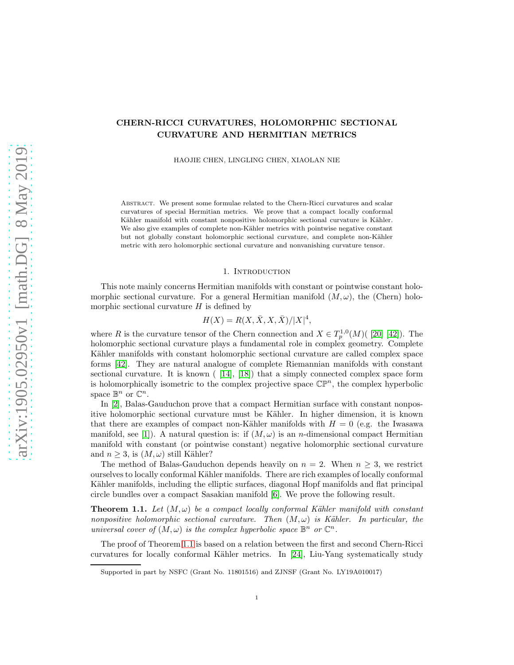# CHERN-RICCI CURVATURES, HOLOMORPHIC SECTIONAL CURVATURE AND HERMITIAN METRICS

HAOJIE CHEN, LINGLING CHEN, XIAOLAN NIE

Abstract. We present some formulae related to the Chern-Ricci curvatures and scalar curvatures of special Hermitian metrics. We prove that a compact locally conformal Kähler manifold with constant nonpositive holomorphic sectional curvature is Kähler. We also give examples of complete non-Kähler metrics with pointwise negative constant but not globally constant holomorphic sectional curvature, and complete non-Kähler metric with zero holomorphic sectional curvature and nonvanishing curvature tensor.

#### 1. Introduction

This note mainly concerns Hermitian manifolds with constant or pointwise constant holomorphic sectional curvature. For a general Hermitian manifold  $(M, \omega)$ , the (Chern) holomorphic sectional curvature  $H$  is defined by

$$
H(X) = R(X, \bar{X}, X, \bar{X})/|X|^4,
$$

where R is the curvature tensor of the Chern connection and  $X \in T^{1,0}_p(M)$  [\[20\]](#page-17-0) [\[42\]](#page-18-0)). The holomorphic sectional curvature plays a fundamental role in complex geometry. Complete Kähler manifolds with constant holomorphic sectional curvature are called complex space forms [\[42\]](#page-18-0). They are natural analogue of complete Riemannian manifolds with constant sectional curvature. It is known ( [\[14\]](#page-17-1), [\[18\]](#page-17-2)) that a simply connected complex space form is holomorphically isometric to the complex projective space  $\mathbb{CP}^n$ , the complex hyperbolic space  $\mathbb{B}^n$  or  $\mathbb{C}^n$ .

In [\[2\]](#page-16-0), Balas-Gauduchon prove that a compact Hermitian surface with constant nonpositive holomorphic sectional curvature must be Kähler. In higher dimension, it is known that there are examples of compact non-Kähler manifolds with  $H = 0$  (e.g. the Iwasawa manifold, see [\[1\]](#page-16-1)). A natural question is: if  $(M,\omega)$  is an *n*-dimensional compact Hermitian manifold with constant (or pointwise constant) negative holomorphic sectional curvature and  $n > 3$ , is  $(M, \omega)$  still Kähler?

The method of Balas-Gauduchon depends heavily on  $n = 2$ . When  $n \geq 3$ , we restrict ourselves to locally conformal Kähler manifolds. There are rich examples of locally conformal Kähler manifolds, including the elliptic surfaces, diagonal Hopf manifolds and flat principal circle bundles over a compact Sasakian manifold [\[6\]](#page-17-3). We prove the following result.

<span id="page-0-0"></span>**Theorem 1.1.** Let  $(M, \omega)$  be a compact locally conformal Kähler manifold with constant *nonpositive holomorphic sectional curvature. Then*  $(M, \omega)$  *is Kähler. In particular, the universal cover of*  $(M, \omega)$  *is the complex hyperbolic space*  $\mathbb{B}^n$  *or*  $\mathbb{C}^n$ *.* 

The proof of Theorem [1.1](#page-0-0) is based on a relation between the first and second Chern-Ricci curvatures for locally conformal Kähler metrics. In [\[24\]](#page-17-4), Liu-Yang systematically study

Supported in part by NSFC (Grant No. 11801516) and ZJNSF (Grant No. LY19A010017)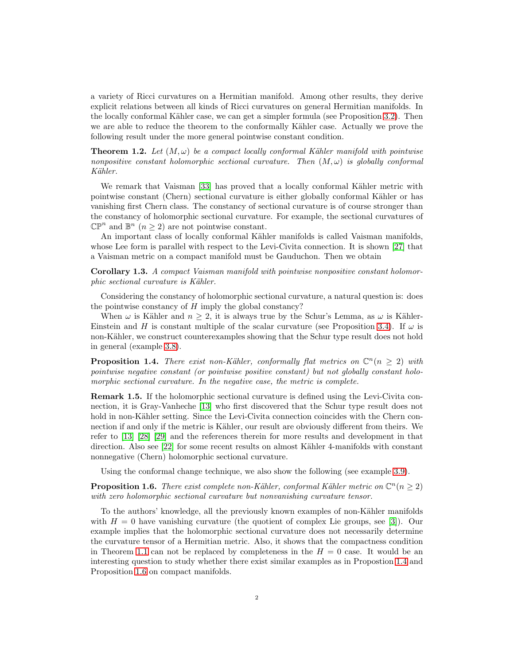a variety of Ricci curvatures on a Hermitian manifold. Among other results, they derive explicit relations between all kinds of Ricci curvatures on general Hermitian manifolds. In the locally conformal Kähler case, we can get a simpler formula (see Proposition [3.2\)](#page-9-0). Then we are able to reduce the theorem to the conformally Kähler case. Actually we prove the following result under the more general pointwise constant condition.

<span id="page-1-2"></span>**Theorem 1.2.** Let  $(M, \omega)$  be a compact locally conformal Kähler manifold with pointwise *nonpositive constant holomorphic sectional curvature. Then* (M, ω) *is globally conformal K¨ahler.*

We remark that Vaisman [\[33\]](#page-17-5) has proved that a locally conformal Kähler metric with pointwise constant (Chern) sectional curvature is either globally conformal Kähler or has vanishing first Chern class. The constancy of sectional curvature is of course stronger than the constancy of holomorphic sectional curvature. For example, the sectional curvatures of  $\mathbb{CP}^n$  and  $\mathbb{B}^n$   $(n \geq 2)$  are not pointwise constant.

An important class of locally conformal Kähler manifolds is called Vaisman manifolds, whose Lee form is parallel with respect to the Levi-Civita connection. It is shown [\[27\]](#page-17-6) that a Vaisman metric on a compact manifold must be Gauduchon. Then we obtain

<span id="page-1-3"></span>Corollary 1.3. *A compact Vaisman manifold with pointwise nonpositive constant holomorphic sectional curvature is Kähler.* 

Considering the constancy of holomorphic sectional curvature, a natural question is: does the pointwise constancy of  $H$  imply the global constancy?

When  $\omega$  is Kähler and  $n \geq 2$ , it is always true by the Schur's Lemma, as  $\omega$  is Kähler-Einstein and H is constant multiple of the scalar curvature (see Proposition [3.4\)](#page-10-0). If  $\omega$  is non-Kähler, we construct counterexamples showing that the Schur type result does not hold in general (example [3.8\)](#page-13-0).

<span id="page-1-0"></span>**Proposition 1.4.** *There exist non-Kähler, conformally flat metrics on*  $\mathbb{C}^n(n \geq 2)$  *with pointwise negative constant (or pointwise positive constant) but not globally constant holomorphic sectional curvature. In the negative case, the metric is complete.*

Remark 1.5. If the holomorphic sectional curvature is defined using the Levi-Civita connection, it is Gray-Vanheche [\[13\]](#page-17-7) who first discovered that the Schur type result does not hold in non-Kähler setting. Since the Levi-Civita connection coincides with the Chern connection if and only if the metric is Kähler, our result are obviously different from theirs. We refer to [\[13\]](#page-17-7) [\[28\]](#page-17-8) [\[29\]](#page-17-9) and the references therein for more results and development in that direction. Also see [\[22\]](#page-17-10) for some recent results on almost Kähler 4-manifolds with constant nonnegative (Chern) holomorphic sectional curvature.

Using the conformal change technique, we also show the following (see example [3.9\)](#page-13-1).

<span id="page-1-1"></span>**Proposition 1.6.** *There exist complete non-Kähler, conformal Kähler metric on*  $\mathbb{C}^n$  ( $n \geq 2$ ) *with zero holomorphic sectional curvature but nonvanishing curvature tensor.*

To the authors' knowledge, all the previously known examples of non-Kähler manifolds with  $H = 0$  have vanishing curvature (the quotient of complex Lie groups, see [\[3\]](#page-16-2)). Our example implies that the holomorphic sectional curvature does not necessarily determine the curvature tensor of a Hermitian metric. Also, it shows that the compactness condition in Theorem [1.1](#page-0-0) can not be replaced by completeness in the  $H = 0$  case. It would be an interesting question to study whether there exist similar examples as in Propostion [1.4](#page-1-0) and Proposition [1.6](#page-1-1) on compact manifolds.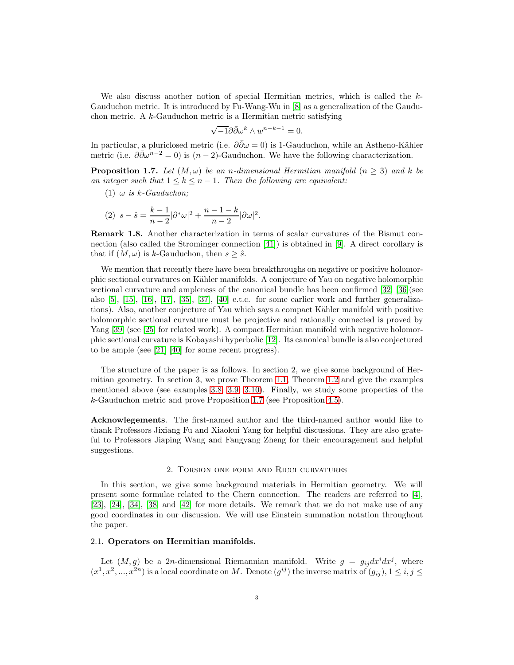We also discuss another notion of special Hermitian metrics, which is called the k-Gauduchon metric. It is introduced by Fu-Wang-Wu in [\[8\]](#page-17-11) as a generalization of the Gauduchon metric. A k-Gauduchon metric is a Hermitian metric satisfying

$$
\sqrt{-1}\partial\bar{\partial}\omega^k \wedge w^{n-k-1} = 0.
$$

In particular, a pluriclosed metric (i.e.  $\partial \bar{\partial}\omega = 0$ ) is 1-Gauduchon, while an Astheno-Kähler metric (i.e.  $\partial \bar{\partial} \omega^{n-2} = 0$ ) is  $(n-2)$ -Gauduchon. We have the following characterization.

<span id="page-2-0"></span>**Proposition 1.7.** Let  $(M, \omega)$  be an *n*-dimensional Hermitian manifold  $(n \geq 3)$  and k be *an integer such that*  $1 \leq k \leq n-1$ *. Then the following are equivalent:* 

(1)  $\omega$  *is k*-Gauduchon;

(2) 
$$
s - \hat{s} = \frac{k-1}{n-2} |\partial^* \omega|^2 + \frac{n-1-k}{n-2} |\partial \omega|^2
$$
.

Remark 1.8. Another characterization in terms of scalar curvatures of the Bismut connection (also called the Strominger connection [\[41\]](#page-18-1)) is obtained in [\[9\]](#page-17-12). A direct corollary is that if  $(M, \omega)$  is k-Gauduchon, then  $s \geq \hat{s}$ .

We mention that recently there have been breakthroughs on negative or positive holomorphic sectional curvatures on Kähler manifolds. A conjecture of Yau on negative holomorphic sectional curvature and ampleness of the canonical bundle has been confirmed [\[32\]](#page-17-13) [\[36\]](#page-18-2)(see also [\[5\]](#page-16-3), [\[15\]](#page-17-14), [\[16\]](#page-17-15), [\[17\]](#page-17-16), [\[35\]](#page-18-3), [\[37\]](#page-18-4), [\[40\]](#page-18-5) e.t.c. for some earlier work and further generalizations). Also, another conjecture of Yau which says a compact Kähler manifold with positive holomorphic sectional curvature must be projective and rationally connected is proved by Yang [\[39\]](#page-18-6) (see [\[25\]](#page-17-17) for related work). A compact Hermitian manifold with negative holomorphic sectional curvature is Kobayashi hyperbolic [\[12\]](#page-17-18). Its canonical bundle is also conjectured to be ample (see [\[21\]](#page-17-19) [\[40\]](#page-18-5) for some recent progress).

The structure of the paper is as follows. In section 2, we give some background of Hermitian geometry. In section 3, we prove Theorem [1.1,](#page-0-0) Theorem [1.2](#page-1-2) and give the examples mentioned above (see examples [3.8,](#page-13-0) [3.9,](#page-13-1) [3.10\)](#page-13-2). Finally, we study some properties of the k-Gauduchon metric and prove Proposition [1.7](#page-2-0) (see Proposition [4.5\)](#page-15-0).

Acknowlegements. The first-named author and the third-named author would like to thank Professors Jixiang Fu and Xiaokui Yang for helpful discussions. They are also grateful to Professors Jiaping Wang and Fangyang Zheng for their encouragement and helpful suggestions.

### 2. Torsion one form and Ricci curvatures

In this section, we give some background materials in Hermitian geometry. We will present some formulae related to the Chern connection. The readers are referred to [\[4\]](#page-16-4), [\[23\]](#page-17-20), [\[24\]](#page-17-4), [\[34\]](#page-17-21), [\[38\]](#page-18-7) and [\[42\]](#page-18-0) for more details. We remark that we do not make use of any good coordinates in our discussion. We will use Einstein summation notation throughout the paper.

## 2.1. Operators on Hermitian manifolds.

Let  $(M, g)$  be a 2n-dimensional Riemannian manifold. Write  $g = g_{ij} dx^{i} dx^{j}$ , where  $(x^1, x^2, ..., x^{2n})$  is a local coordinate on M. Denote  $(g^{ij})$  the inverse matrix of  $(g_{ij})$ ,  $1 \le i, j \le n$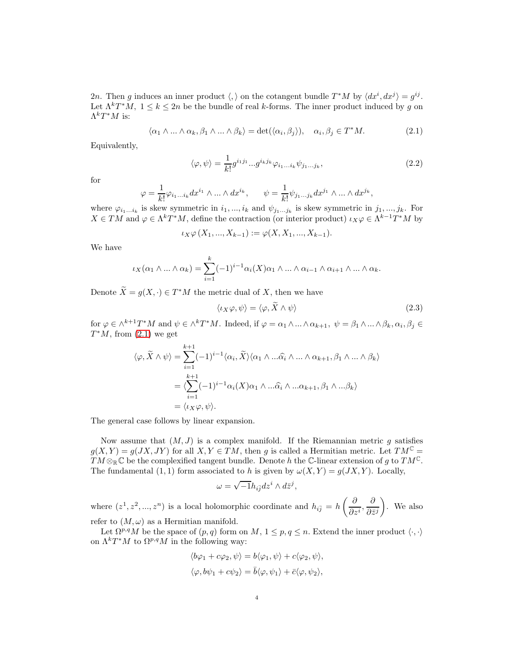2n. Then g induces an inner product  $\langle , \rangle$  on the cotangent bundle  $T^*M$  by  $\langle dx^i, dx^j \rangle = g^{ij}$ . Let  $\Lambda^k T^*M$ ,  $1 \leq k \leq 2n$  be the bundle of real k-forms. The inner product induced by g on  $\Lambda^kT^*M$  is:

$$
\langle \alpha_1 \wedge \ldots \wedge \alpha_k, \beta_1 \wedge \ldots \wedge \beta_k \rangle = \det(\langle \alpha_i, \beta_j \rangle), \quad \alpha_i, \beta_j \in T^*M. \tag{2.1}
$$

Equivalently,

<span id="page-3-1"></span><span id="page-3-0"></span>
$$
\langle \varphi, \psi \rangle = \frac{1}{k!} g^{i_1 j_1} \dots g^{i_k j_k} \varphi_{i_1 \dots i_k} \psi_{j_1 \dots j_k}, \qquad (2.2)
$$

for

$$
\varphi=\frac{1}{k!}\varphi_{i_1...i_k}dx^{i_1}\wedge...\wedge dx^{i_k},\qquad \psi=\frac{1}{k!}\psi_{j_1...j_k}dx^{j_1}\wedge...\wedge dx^{j_k},
$$

where  $\varphi_{i_1...i_k}$  is skew symmetric in  $i_1,...,i_k$  and  $\psi_{j_1...j_k}$  is skew symmetric in  $j_1,...,j_k$ . For  $X \in TM$  and  $\varphi \in \Lambda^k T^*M$ , define the contraction (or interior product)  $\iota_X \varphi \in \Lambda^{k-1} T^*M$  by

$$
\iota_X \varphi(X_1, ..., X_{k-1}) := \varphi(X, X_1, ..., X_{k-1}).
$$

We have

$$
\iota_X(\alpha_1 \wedge \ldots \wedge \alpha_k) = \sum_{i=1}^k (-1)^{i-1} \alpha_i(X) \alpha_1 \wedge \ldots \wedge \alpha_{i-1} \wedge \alpha_{i+1} \wedge \ldots \wedge \alpha_k.
$$

Denote  $\tilde{X} = g(X, \cdot) \in T^*M$  the metric dual of X, then we have

<span id="page-3-2"></span>
$$
\langle \iota_X \varphi, \psi \rangle = \langle \varphi, X \wedge \psi \rangle \tag{2.3}
$$

for  $\varphi \in \wedge^{k+1}T^*M$  and  $\psi \in \wedge^kT^*M$ . Indeed, if  $\varphi = \alpha_1 \wedge ... \wedge \alpha_{k+1}, \psi = \beta_1 \wedge ... \wedge \beta_k, \alpha_i, \beta_j \in$  $T^*M$ , from  $(2.1)$  we get

$$
\langle \varphi, \widetilde{X} \wedge \psi \rangle = \sum_{i=1}^{k+1} (-1)^{i-1} \langle \alpha_i, \widetilde{X} \rangle \langle \alpha_1 \wedge \dots \widehat{\alpha_i} \wedge \dots \wedge \alpha_{k+1}, \beta_1 \wedge \dots \wedge \beta_k \rangle
$$
  
= 
$$
\langle \sum_{i=1}^{k+1} (-1)^{i-1} \alpha_i(X) \alpha_1 \wedge \dots \widehat{\alpha_i} \wedge \dots \alpha_{k+1}, \beta_1 \wedge \dots \beta_k \rangle
$$
  
= 
$$
\langle \iota_X \varphi, \psi \rangle.
$$

The general case follows by linear expansion.

Now assume that  $(M, J)$  is a complex manifold. If the Riemannian metric q satisfies  $g(X, Y) = g(JX, JY)$  for all  $X, Y \in TM$ , then g is called a Hermitian metric. Let  $TM^{\mathbb{C}} =$  $TM \otimes_{\mathbb{R}} \mathbb{C}$  be the complexified tangent bundle. Denote h the C-linear extension of g to  $TM^{\mathbb{C}}$ . The fundamental (1, 1) form associated to h is given by  $\omega(X, Y) = g(JX, Y)$ . Locally,

$$
\omega=\sqrt{-1}h_{i\overline{j}}dz^i\wedge d\overline{z}^j,
$$

where  $(z^1, z^2, ..., z^n)$  is a local holomorphic coordinate and  $h_{i\bar{j}} = h\left(\frac{\partial}{\partial z}\right)$  $\frac{\partial}{\partial z^i}, \frac{\partial}{\partial \bar z}$  $\partial \bar{z}^j$  $\overline{ }$ . We also refer to  $(M, \omega)$  as a Hermitian manifold.

Let  $\Omega^{p,q}M$  be the space of  $(p,q)$  form on  $M, 1 \leq p,q \leq n$ . Extend the inner product  $\langle \cdot, \cdot \rangle$ on  $\Lambda^k T^*M$  to  $\Omega^{p,q}M$  in the following way:

$$
\langle b\varphi_1 + c\varphi_2, \psi \rangle = b\langle \varphi_1, \psi \rangle + c\langle \varphi_2, \psi \rangle,
$$
  

$$
\langle \varphi, b\psi_1 + c\psi_2 \rangle = \bar{b}\langle \varphi, \psi_1 \rangle + \bar{c}\langle \varphi, \psi_2 \rangle,
$$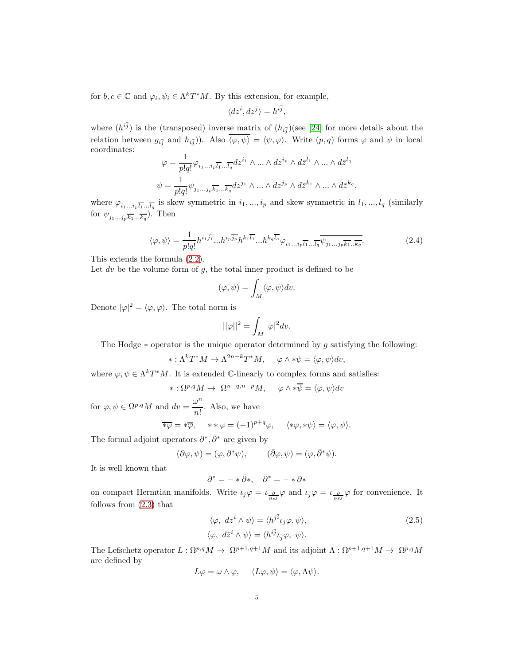for  $b, c \in \mathbb{C}$  and  $\varphi_i, \psi_i \in \Lambda^k T^*M$ . By this extension, for example,

$$
\langle dz^i, dz^j \rangle = h^{i\bar{j}},
$$

where  $(h^{i\bar{j}})$  is the (transposed) inverse matrix of  $(h_{i\bar{j}})$  (see [\[24\]](#page-17-4) for more details about the relation between  $g_{i\bar{j}}$  and  $h_{i\bar{j}}$ ). Also  $\langle \varphi, \psi \rangle = \langle \psi, \varphi \rangle$ . Write  $(p, q)$  forms  $\varphi$  and  $\psi$  in local coordinates:

$$
\begin{split} \varphi&=\frac{1}{p!q!}\varphi_{i_1...i_p\overline{l_1}...\overline{l_q}}dz^{i_1}\wedge...\wedge dz^{i_p}\wedge d\bar{z}^{l_1}\wedge...\wedge d\bar{z}^{l_q}\\ \psi&=\frac{1}{p!q!}\psi_{j_1...j_p\overline{k_1}...\overline{k_q}}dz^{j_1}\wedge...\wedge dz^{j_p}\wedge d\bar{z}^{k_1}\wedge...\wedge d\bar{z}^{k_q}, \end{split}
$$

where  $\varphi_{i_1...i_p\overline{l_1}...\overline{l_q}}$  is skew symmetric in  $i_1,...,i_p$  and skew symmetric in  $l_1,...,l_q$  (similarly for  $\psi_{j_1...j_p\overline{k_1}...\overline{k_q}}$ . Then

$$
\langle \varphi, \psi \rangle = \frac{1}{p!q!} h^{i_1 \bar{j_1}} \dots h^{i_p \bar{j_p}} h^{k_1 \bar{l_1}} \dots h^{k_q \bar{l_q}} \varphi_{i_1 \dots i_p \bar{l_1} \dots \bar{l_q}} \psi_{j_1 \dots j_p \bar{k_1} \dots \bar{k_q}}.
$$
(2.4)

This extends the formula [\(2.2\)](#page-3-1).

Let dv be the volume form of  $g$ , the total inner product is defined to be

$$
(\varphi,\psi)=\int_M\langle\varphi,\psi\rangle dv.
$$

Denote  $|\varphi|^2 = \langle \varphi, \varphi \rangle$ . The total norm is

$$
||\varphi||^2=\int_M |\varphi|^2 dv.
$$

The Hodge  $*$  operator is the unique operator determined by g satisfying the following:

$$
*: \Lambda^k T^* M \to \Lambda^{2n-k} T^* M, \quad \varphi \wedge * \psi = \langle \varphi, \psi \rangle dv,
$$

where  $\varphi, \psi \in \Lambda^k T^*M$ . It is extended C-linearly to complex forms and satisfies:

$$
*:\Omega^{p,q}M\to\ \Omega^{n-q,n-p}M,\quad \varphi\wedge *\overline{\psi}=\langle\varphi,\psi\rangle dv
$$

for  $\varphi, \psi \in \Omega^{p,q}M$  and  $dv = \frac{\omega^n}{n!}$  $\frac{\infty}{n!}$ . Also, we have

$$
\overline{\ast \varphi} = \ast \overline{\varphi}, \quad \ast \ast \varphi = (-1)^{p+q} \varphi, \quad \langle \ast \varphi, \ast \psi \rangle = \langle \varphi, \psi \rangle.
$$

The formal adjoint operators  $\partial^*, \bar{\partial}^*$  are given by

$$
(\partial \varphi, \psi) = (\varphi, \partial^* \psi), \qquad (\bar{\partial} \varphi, \psi) = (\varphi, \bar{\partial}^* \psi).
$$

It is well known that

 $\partial^* = - * \bar{\partial} *$ ,  $\bar{\partial}^* = - * \partial *$ 

on compact Hermtian manifolds. Write  $\iota_j \varphi = \iota_{\frac{\partial}{\partial z^j}} \varphi$  and  $\iota_{\bar{j}} \varphi = \iota_{\frac{\partial}{\partial \bar{z}^j}} \varphi$  for convenience. It follows from [\(2.3\)](#page-3-2) that

<span id="page-4-0"></span>
$$
\langle \varphi, dz^i \wedge \psi \rangle = \langle h^{j\bar{i}} \iota_j \varphi, \psi \rangle, \langle \varphi, d\bar{z}^i \wedge \psi \rangle = \langle h^{i\bar{j}} \iota_{\bar{j}} \varphi, \psi \rangle.
$$
\n(2.5)

The Lefschetz operator  $L: \Omega^{p,q}M \to \Omega^{p+1,q+1}M$  and its adjoint  $\Lambda: \Omega^{p+1,q+1}M \to \Omega^{p,q}M$ are defined by

$$
L\varphi = \omega \wedge \varphi, \quad \langle L\varphi, \psi \rangle = \langle \varphi, \Lambda \psi \rangle.
$$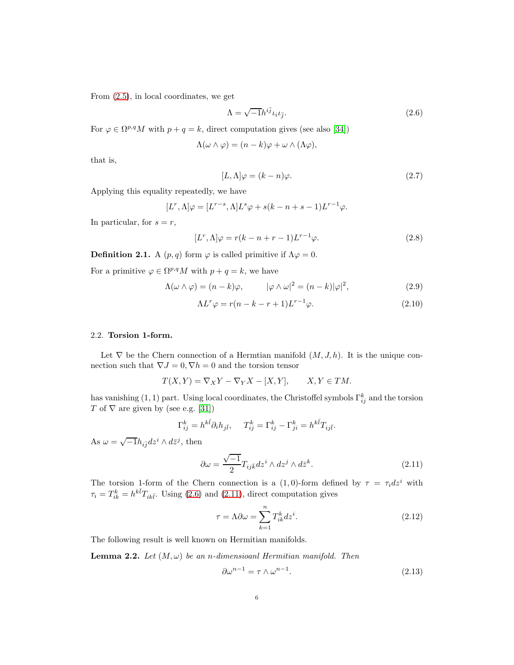From [\(2.5\)](#page-4-0), in local coordinates, we get

<span id="page-5-0"></span>
$$
\Lambda = \sqrt{-1}h^{i\bar{j}}\iota_i\iota_{\bar{j}}.\tag{2.6}
$$

For  $\varphi \in \Omega^{p,q}M$  with  $p+q=k$ , direct computation gives (see also [\[34\]](#page-17-21))

$$
\Lambda(\omega \wedge \varphi) = (n-k)\varphi + \omega \wedge (\Lambda \varphi),
$$

that is,

<span id="page-5-2"></span>
$$
[L,\Lambda]\varphi = (k-n)\varphi.
$$
\n(2.7)

Applying this equality repeatedly, we have

$$
[L^r, \Lambda]\varphi = [L^{r-s}, \Lambda]L^s \varphi + s(k - n + s - 1)L^{r-1}\varphi.
$$

In particular, for  $s = r$ ,

$$
[L^r, \Lambda]\varphi = r(k - n + r - 1)L^{r-1}\varphi.
$$
\n(2.8)

**Definition 2.1.** A  $(p, q)$  form  $\varphi$  is called primitive if  $\Lambda \varphi = 0$ .

For a primitive  $\varphi \in \Omega^{p,q}M$  with  $p + q = k$ , we have

$$
\Lambda(\omega \wedge \varphi) = (n - k)\varphi, \qquad |\varphi \wedge \omega|^2 = (n - k)|\varphi|^2, \tag{2.9}
$$

<span id="page-5-5"></span>
$$
\Lambda L^r \varphi = r(n - k - r + 1)L^{r-1}\varphi.
$$
\n(2.10)

### 2.2. Torsion 1-form.

Let  $\nabla$  be the Chern connection of a Hermtian manifold  $(M, J, h)$ . It is the unique connection such that  $\nabla J = 0$ ,  $\nabla h = 0$  and the torsion tensor

$$
T(X,Y) = \nabla_X Y - \nabla_Y X - [X,Y], \qquad X, Y \in TM.
$$

has vanishing  $(1,1)$  part. Using local coordinates, the Christoffel symbols  $\Gamma_{ij}^k$  and the torsion T of  $\nabla$  are given by (see e.g. [\[31\]](#page-17-22))

$$
\Gamma^k_{ij} = h^{k\bar{l}} \partial_i h_{j\bar{l}}, \quad T^k_{ij} = \Gamma^k_{ij} - \Gamma^k_{ji} = h^{k\bar{l}} T_{ij\bar{l}}.
$$

As  $\omega = \sqrt{-1}h_{i\bar{j}}dz^i \wedge d\bar{z}^j$ , then

$$
\partial \omega = \frac{\sqrt{-1}}{2} T_{ij\bar{k}} dz^i \wedge dz^j \wedge d\bar{z}^k.
$$
 (2.11)

The torsion 1-form of the Chern connection is a (1,0)-form defined by  $\tau = \tau_i dz^i$  with  $\tau_i = T_{ik}^k = h^{k\bar{l}} T_{ik\bar{l}}$ . Using [\(2.6\)](#page-5-0) and [\(2.11\)](#page-5-1), direct computation gives

<span id="page-5-3"></span><span id="page-5-1"></span>
$$
\tau = \Lambda \partial \omega = \sum_{k=1}^{n} T_{ik}^{k} dz^{i}.
$$
\n(2.12)

The following result is well known on Hermitian manifolds.

**Lemma 2.2.** *Let*  $(M, \omega)$  *be an n-dimensioanl Hermitian manifold. Then* 

<span id="page-5-4"></span>
$$
\partial \omega^{n-1} = \tau \wedge \omega^{n-1}.
$$
\n(2.13)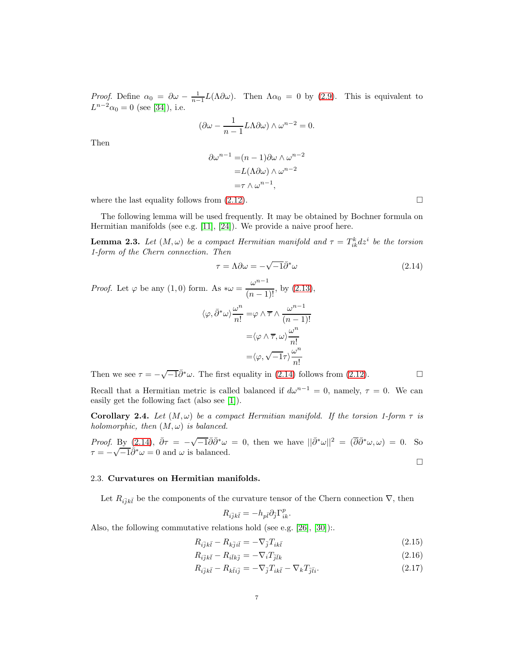*Proof.* Define  $\alpha_0 = \partial \omega - \frac{1}{n-1} L(\Lambda \partial \omega)$ . Then  $\Lambda \alpha_0 = 0$  by [\(2.9\)](#page-5-2). This is equivalent to  $L^{n-2}\alpha_0 = 0$  (see [\[34\]](#page-17-21)), i.e.

$$
(\partial \omega - \frac{1}{n-1} L \Lambda \partial \omega) \wedge \omega^{n-2} = 0.
$$

Then

$$
\partial \omega^{n-1} = (n-1)\partial \omega \wedge \omega^{n-2}
$$

$$
= L(\Lambda \partial \omega) \wedge \omega^{n-2}
$$

$$
= \tau \wedge \omega^{n-1},
$$

where the last equality follows from  $(2.12)$ .

The following lemma will be used frequently. It may be obtained by Bochner formula on Hermitian manifolds (see e.g. [\[11\]](#page-17-23), [\[24\]](#page-17-4)). We provide a naive proof here.

**Lemma 2.3.** Let  $(M, \omega)$  be a compact Hermitian manifold and  $\tau = T_{ik}^k dz^i$  be the torsion *1-form of the Chern connection. Then*

$$
\tau = \Lambda \partial \omega = -\sqrt{-1} \bar{\partial}^* \omega \tag{2.14}
$$

*Proof.* Let  $\varphi$  be any  $(1,0)$  form. As  $*\omega = \frac{\omega^{n-1}}{(n-1)}$  $\frac{\infty}{(n-1)!}$ , by [\(2.13\)](#page-5-4),

$$
\langle \varphi, \bar{\partial}^* \omega \rangle \frac{\omega^n}{n!} = \varphi \wedge \overline{\tau} \wedge \frac{\omega^{n-1}}{(n-1)!}
$$

$$
= \langle \varphi \wedge \overline{\tau}, \omega \rangle \frac{\omega^n}{n!}
$$

$$
= \langle \varphi, \sqrt{-1}\tau \rangle \frac{\omega^n}{n!}
$$

Then we see  $\tau = -\sqrt{-1}\bar{\partial}^*\omega$ . The first equality in [\(2.14\)](#page-6-0) follows from [\(2.12\)](#page-5-3).

Recall that a Hermitian metric is called balanced if  $d\omega^{n-1} = 0$ , namely,  $\tau = 0$ . We can easily get the following fact (also see [\[1\]](#page-16-1)).

**Corollary 2.4.** Let  $(M, \omega)$  be a compact Hermitian manifold. If the torsion 1-form  $\tau$  is *holomorphic, then*  $(M, \omega)$  *is balanced.* 

*Proof.* By  $(2.14)$ ,  $\bar{\partial}\tau = -\sqrt{-1}\bar{\partial}\bar{\partial}^*\omega = 0$ , then we have  $||\bar{\partial}^*\omega||^2 = (\overline{\partial}\bar{\partial}^*\omega, \omega) = 0$ . So  $\tau = -\sqrt{-1}\ddot{\partial}^*\omega = 0$  and  $\omega$  is balanced.  $\Box$ 

#### 2.3. Curvatures on Hermitian manifolds.

Let  $R_{i\bar{j}k\bar{l}}$  be the components of the curvature tensor of the Chern connection  $\nabla$ , then

<span id="page-6-2"></span><span id="page-6-1"></span>
$$
R_{i\bar{j}k\bar{l}}=-h_{p\bar{l}}\partial_{\bar{j}}\Gamma_{ik}^{p}.
$$

Also, the following commutative relations hold (see e.g. [\[26\]](#page-17-24), [\[30\]](#page-17-25)):.

$$
R_{i\overline{j}k\overline{l}} - R_{k\overline{j}i\overline{l}} = -\nabla_{\overline{j}}T_{ik\overline{l}} \tag{2.15}
$$

$$
R_{i\bar{j}k\bar{l}} - R_{i\bar{l}k\bar{j}} = -\nabla_i T_{\bar{j}\bar{l}k} \tag{2.16}
$$

$$
R_{i\overline{j}k\overline{l}} - R_{k\overline{l}i\overline{j}} = -\nabla_{\overline{j}}T_{ik\overline{l}} - \nabla_kT_{\overline{j}\overline{l}i}.
$$
\n(2.17)

<span id="page-6-0"></span>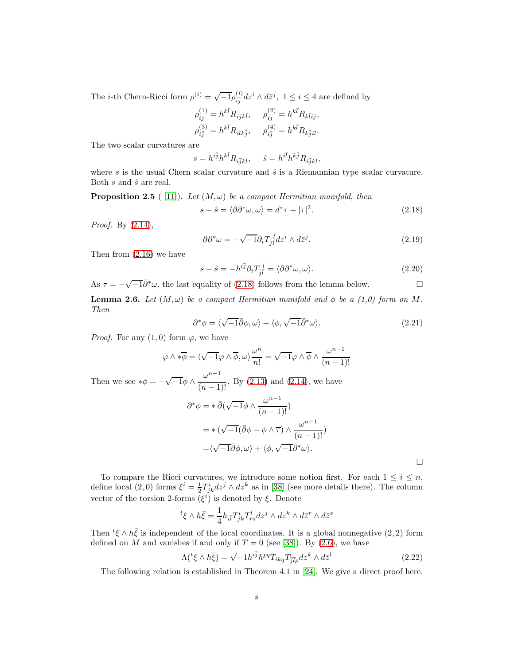The *i*-th Chern-Ricci form  $\rho^{(i)} = \sqrt{-1} \rho_{i\bar{j}}^{(i)} dz^i \wedge d\bar{z}^j$ ,  $1 \leq i \leq 4$  are defined by

$$
\rho_{i\bar{j}}^{(1)} = h^{k\bar{l}} R_{i\bar{j}k\bar{l}}, \quad \rho_{i\bar{j}}^{(2)} = h^{k\bar{l}} R_{k\bar{l}i\bar{j}},
$$
  

$$
\rho_{i\bar{j}}^{(3)} = h^{k\bar{l}} R_{i\bar{l}k\bar{j}}, \quad \rho_{i\bar{j}}^{(4)} = h^{k\bar{l}} R_{k\bar{j}i\bar{l}}.
$$

The two scalar curvatures are

$$
s = h^{i\bar{j}}h^{k\bar{l}}R_{i\bar{j}k\bar{l}}, \quad \hat{s} = h^{i\bar{l}}h^{k\bar{j}}R_{i\bar{j}k\bar{l}},
$$

where s is the usual Chern scalar curvature and  $\hat{s}$  is a Riemannian type scalar curvature. Both  $s$  and  $\hat{s}$  are real.

**Proposition 2.5** ([11]). *Let*  $(M, \omega)$  *be a compact Hermitian manifold, then* 

<span id="page-7-0"></span>
$$
s - \hat{s} = \langle \partial \partial^* \omega, \omega \rangle = d^* \tau + |\tau|^2. \tag{2.18}
$$

*Proof.* By [\(2.14\)](#page-6-0),

<span id="page-7-1"></span>
$$
\partial \partial^* \omega = -\sqrt{-1} \partial_i T_{\bar{j}\bar{l}}^{\ \bar{l}} dz^i \wedge d\bar{z}^j. \tag{2.19}
$$

Then from [\(2.16\)](#page-6-1) we have

$$
s - \hat{s} = -h^{i\bar{j}} \partial_i T_{\bar{j}\bar{l}}^{\bar{l}} = \langle \partial \partial^* \omega, \omega \rangle.
$$
 (2.20)

As  $\tau = -\sqrt{-1}\bar{\partial}^*\omega$ , the last equality of [\(2.18\)](#page-7-0) follows from the lemma below.

**Lemma 2.6.** *Let*  $(M, \omega)$  *be a compact Hermitian manifold and*  $\phi$  *be a (1,0) form on* M. *Then*

$$
\partial^* \phi = \langle \sqrt{-1} \bar{\partial} \phi, \omega \rangle + \langle \phi, \sqrt{-1} \bar{\partial}^* \omega \rangle. \tag{2.21}
$$

*Proof.* For any  $(1,0)$  form  $\varphi$ , we have

$$
\varphi \wedge * \overline{\phi} = \langle \sqrt{-1} \varphi \wedge \overline{\phi}, \omega \rangle \frac{\omega^n}{n!} = \sqrt{-1} \varphi \wedge \overline{\phi} \wedge \frac{\omega^{n-1}}{(n-1)!}
$$

Then we see  $*\phi = -\sqrt{-1}\phi \wedge \frac{\omega^{n-1}}{(n-1)}$  $\frac{\infty}{(n-1)!}$ . By [\(2.13\)](#page-5-4) and [\(2.14\)](#page-6-0), we have

$$
\partial^* \phi = * \bar{\partial} (\sqrt{-1} \phi \wedge \frac{\omega^{n-1}}{(n-1)!})
$$
  
= \* (\sqrt{-1} (\bar{\partial} \phi - \phi \wedge \overline{\tau}) \wedge \frac{\omega^{n-1}}{(n-1)!})  
= \langle \sqrt{-1} \bar{\partial} \phi, \omega \rangle + \langle \phi, \sqrt{-1} \bar{\partial}^\* \omega \rangle.

<span id="page-7-2"></span> $\Box$ 

To compare the Ricci curvatures, we introduce some notion first. For each  $1 \leq i \leq n$ , define local  $(2,0)$  forms  $\xi^i = \frac{1}{2} T_{jk}^i dz^j \wedge dz^k$  as in [\[38\]](#page-18-7) (see more details there). The column vector of the torsion 2-forms  $(\xi^i)$  is denoted by  $\xi$ . Denote

$$
{}^{t}\xi \wedge h\bar{\xi} = \frac{1}{4} h_{i\bar{i}} T^{i}_{jk} T^{\bar{i}}_{\bar{r}\bar{s}} dz^{j} \wedge dz^{k} \wedge d\bar{z}^{r} \wedge d\bar{z}^{s}
$$

Then  ${}^t\xi \wedge h\bar{\xi}$  is independent of the local coordinates. It is a global nonnegative  $(2, 2)$  form defined on M and vanishes if and only if  $T = 0$  (see [\[38\]](#page-18-7)). By [\(2.6\)](#page-5-0), we have

$$
\Lambda(\,^t \xi \wedge h\bar{\xi}) = \sqrt{-1}h^{i\bar{j}}h^{p\bar{q}}T_{ik\bar{q}}T_{\bar{j}\bar{l}p}dz^k \wedge d\bar{z}^l \tag{2.22}
$$

The following relation is established in Theorem 4.1 in [\[24\]](#page-17-4). We give a direct proof here.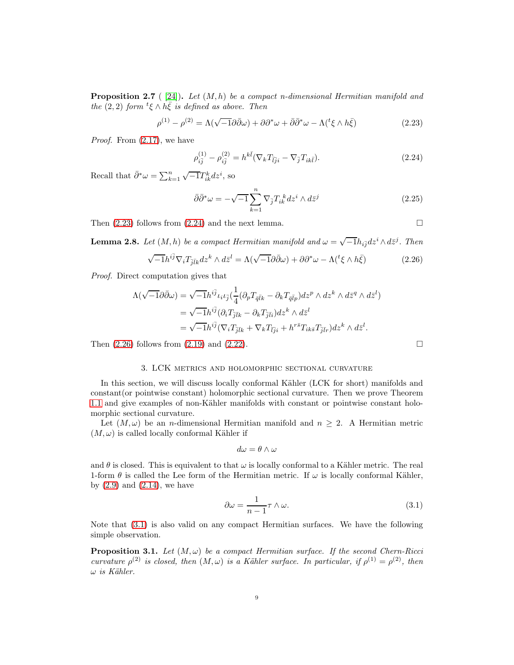Proposition 2.7 ( [\[24\]](#page-17-4)). *Let* (M, h) *be a compact n-dimensional Hermitian manifold and the*  $(2, 2)$  *form*  $\frac{t}{\xi} \wedge h\overline{\xi}$  *is defined as above. Then* 

$$
\rho^{(1)} - \rho^{(2)} = \Lambda(\sqrt{-1}\partial\bar{\partial}\omega) + \partial\partial^*\omega + \bar{\partial}\bar{\partial}^*\omega - \Lambda(^t\xi \wedge h\bar{\xi})
$$
\n(2.23)

*Proof.* From [\(2.17\)](#page-6-2), we have

<span id="page-8-0"></span>
$$
\rho_{i\bar{j}}^{(1)} - \rho_{i\bar{j}}^{(2)} = h^{k\bar{l}} (\nabla_k T_{\bar{l}j i} - \nabla_{\bar{j}} T_{ik\bar{l}}).
$$
\n(2.24)

Recall that  $\bar{\partial}^* \omega = \sum_{k=1}^n \sqrt{-1} T_{ik}^k dz^i$ , so

ρ

$$
\bar{\partial}\bar{\partial}^*\omega = -\sqrt{-1}\sum_{k=1}^n \nabla_{\bar{j}} T_{ik}^k dz^i \wedge d\bar{z}^j \tag{2.25}
$$

Then  $(2.23)$  follows from  $(2.24)$  and the next lemma.

**Lemma 2.8.** Let  $(M, h)$  be a compact Hermitian manifold and  $\omega = \sqrt{-1}h_{i\bar{j}}dz^i \wedge d\bar{z}^j$ . Then

$$
\sqrt{-1}h^{i\bar{j}}\nabla_i T_{\bar{j}\bar{l}k} dz^k \wedge d\bar{z}^l = \Lambda(\sqrt{-1}\partial\bar{\partial}\omega) + \partial\partial^*\omega - \Lambda({}^t\xi \wedge h\bar{\xi})
$$
(2.26)

*Proof.* Direct computation gives that

$$
\Lambda(\sqrt{-1}\partial\bar{\partial}\omega) = \sqrt{-1}h^{i\bar{j}}\iota_i\iota_{\bar{j}}(\frac{1}{4}(\partial_p T_{\bar{q}\bar{l}k} - \partial_k T_{\bar{q}\bar{l}p})dz^p \wedge dz^k \wedge d\bar{z}^q \wedge d\bar{z}^l)
$$
  
=  $\sqrt{-1}h^{i\bar{j}}(\partial_i T_{\bar{j}\bar{l}k} - \partial_k T_{\bar{j}\bar{l}i})dz^k \wedge d\bar{z}^l$   
=  $\sqrt{-1}h^{i\bar{j}}(\nabla_i T_{\bar{j}\bar{l}k} + \nabla_k T_{\bar{l}\bar{j}i} + h^{r\bar{s}}T_{ik\bar{s}}T_{\bar{j}\bar{l}r})dz^k \wedge d\bar{z}^l.$ 

Then  $(2.26)$  follows from  $(2.19)$  and  $(2.22)$ .

### 3. LCK metrics and holomorphic sectional curvature

In this section, we will discuss locally conformal Kähler (LCK for short) manifolds and constant(or pointwise constant) holomorphic sectional curvature. Then we prove Theorem [1.1](#page-0-0) and give examples of non-Kähler manifolds with constant or pointwise constant holomorphic sectional curvature.

Let  $(M, \omega)$  be an *n*-dimensional Hermitian manifold and  $n \geq 2$ . A Hermitian metric  $(M, \omega)$  is called locally conformal Kähler if

$$
d\omega = \theta \wedge \omega
$$

and  $\theta$  is closed. This is equivalent to that  $\omega$  is locally conformal to a Kähler metric. The real 1-form  $\theta$  is called the Lee form of the Hermitian metric. If  $\omega$  is locally conformal Kähler, by  $(2.9)$  and  $(2.14)$ , we have

$$
\partial \omega = \frac{1}{n-1} \tau \wedge \omega. \tag{3.1}
$$

Note that [\(3.1\)](#page-8-3) is also valid on any compact Hermitian surfaces. We have the following simple observation.

**Proposition 3.1.** Let  $(M, \omega)$  be a compact Hermitian surface. If the second Chern-Ricci *curvature*  $\rho^{(2)}$  *is closed, then*  $(M, \omega)$  *is a Kähler surface. In particular, if*  $\rho^{(1)} = \rho^{(2)}$ *, then*  $\omega$  *is Kähler.* 

<span id="page-8-3"></span><span id="page-8-2"></span><span id="page-8-1"></span>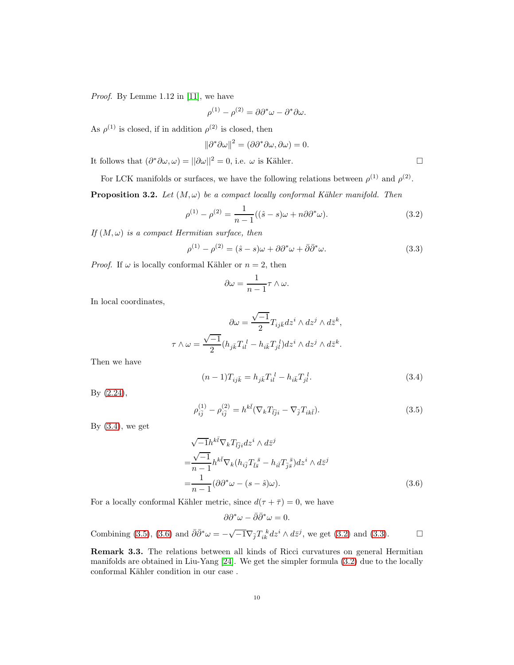*Proof.* By Lemme 1.12 in [\[11\]](#page-17-23), we have

$$
\rho^{(1)} - \rho^{(2)} = \partial \partial^* \omega - \partial^* \partial \omega.
$$

As  $\rho^{(1)}$  is closed, if in addition  $\rho^{(2)}$  is closed, then

$$
\|\partial^*\partial\omega\|^2 = (\partial\partial^*\partial\omega, \partial\omega) = 0.
$$

It follows that  $(\partial^*\partial\omega,\omega) = ||\partial\omega||^2 = 0$ , i.e.  $\omega$  is Kähler.

For LCK manifolds or surfaces, we have the following relations between  $\rho^{(1)}$  and  $\rho^{(2)}$ .

<span id="page-9-0"></span>**Proposition 3.2.** *Let*  $(M, \omega)$  *be a compact locally conformal Kähler manifold. Then* 

$$
\rho^{(1)} - \rho^{(2)} = \frac{1}{n-1}((\hat{s} - s)\omega + n\partial\partial^*\omega).
$$
 (3.2)

*If*  $(M, \omega)$  *is a compact Hermitian surface, then* 

$$
\rho^{(1)} - \rho^{(2)} = (\hat{s} - s)\omega + \partial \partial^* \omega + \bar{\partial} \bar{\partial}^* \omega.
$$
\n(3.3)

*Proof.* If  $\omega$  is locally conformal Kähler or  $n = 2$ , then

$$
\partial \omega = \frac{1}{n-1} \tau \wedge \omega.
$$

In local coordinates,

$$
\partial \omega = \frac{\sqrt{-1}}{2} T_{ij\bar k} dz^i \wedge dz^j \wedge d\bar z^k,
$$
  

$$
\tau \wedge \omega = \frac{\sqrt{-1}}{2} (h_{j\bar k} T_{il}^{\ l} - h_{i\bar k} T_{jl}^{\ l}) dz^i \wedge dz^j \wedge d\bar z^k.
$$

Then we have

<span id="page-9-2"></span><span id="page-9-1"></span>
$$
(n-1)T_{ij\bar{k}} = h_{j\bar{k}}T_{il}^{l} - h_{i\bar{k}}T_{jl}^{l}.
$$
\n(3.4)

By [\(2.24\)](#page-8-1),

<span id="page-9-3"></span>
$$
\rho_{i\bar{j}}^{(1)} - \rho_{i\bar{j}}^{(2)} = h^{k\bar{l}} (\nabla_k T_{\bar{l}j i} - \nabla_{\bar{j}} T_{ik\bar{l}}).
$$
\n(3.5)

By  $(3.4)$ , we get

$$
\sqrt{-1}h^{k\bar{l}}\nabla_k T_{\bar{l}j i} dz^i \wedge d\bar{z}^j
$$
  
=\frac{\sqrt{-1}}{n-1}h^{k\bar{l}}\nabla\_k (h\_{i\bar{j}}T\_{\bar{l}\bar{s}}^{\ \bar{s}} - h\_{i\bar{l}}T\_{\bar{j}\bar{s}}^{\ \bar{s}})dz^i \wedge d\bar{z}^j  
=\frac{1}{n-1}(\partial\partial^\*\omega - (s-\hat{s})\omega). (3.6)

For a locally conformal Kähler metric, since  $d(\tau + \bar{\tau}) = 0$ , we have

$$
\partial \partial^* \omega - \bar{\partial} \bar{\partial}^* \omega = 0.
$$
  
Combining (3.5), (3.6) and  $\bar{\partial} \bar{\partial}^* \omega = -\sqrt{-1} \nabla_{\bar{j}} T_{ik}^k dz^i \wedge d\bar{z}^j$ , we get (3.2) and (3.3).

Remark 3.3. The relations between all kinds of Ricci curvatures on general Hermitian manifolds are obtained in Liu-Yang [\[24\]](#page-17-4). We get the simpler formula [\(3.2\)](#page-9-0) due to the locally conformal Kähler condition in our case .

<span id="page-9-4"></span>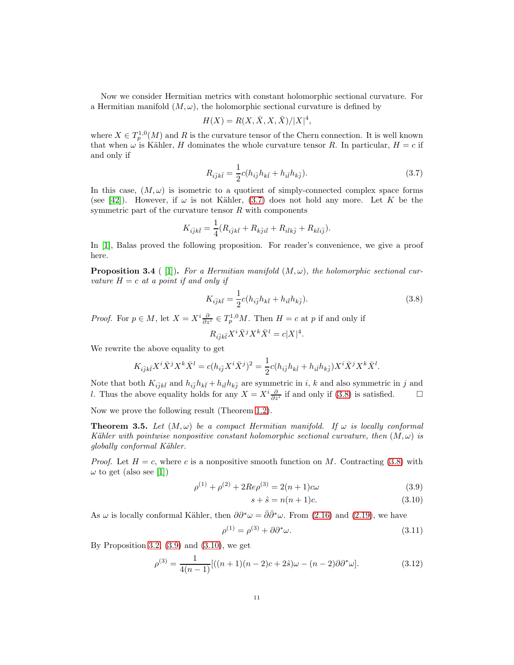Now we consider Hermitian metrics with constant holomorphic sectional curvature. For a Hermitian manifold  $(M, \omega)$ , the holomorphic sectional curvature is defined by

$$
H(X) = R(X, \bar{X}, X, \bar{X})/|X|^4,
$$

where  $X \in T_p^{1,0}(M)$  and R is the curvature tensor of the Chern connection. It is well known that when  $\omega$  is Kähler, H dominates the whole curvature tensor R. In particular,  $H = c$  if and only if

<span id="page-10-1"></span>
$$
R_{i\bar{j}k\bar{l}} = \frac{1}{2}c(h_{i\bar{j}}h_{k\bar{l}} + h_{i\bar{l}}h_{k\bar{j}}).
$$
 (3.7)

In this case,  $(M, \omega)$  is isometric to a quotient of simply-connected complex space forms (see [\[42\]](#page-18-0)). However, if  $\omega$  is not Kähler, [\(3.7\)](#page-10-1) does not hold any more. Let K be the symmetric part of the curvature tensor  $R$  with components

$$
K_{i\bar{j}k\bar{l}} = \frac{1}{4} (R_{i\bar{j}k\bar{l}} + R_{k\bar{j}i\bar{l}} + R_{i\bar{l}k\bar{j}} + R_{k\bar{l}i\bar{j}}).
$$

In [\[1\]](#page-16-1), Balas proved the following proposition. For reader's convenience, we give a proof here.

<span id="page-10-0"></span>**Proposition 3.4** ([1]). For a Hermitian manifold  $(M, \omega)$ , the holomorphic sectional cur*vature*  $H = c$  *at a point if and only if* 

$$
K_{i\bar{j}k\bar{l}} = \frac{1}{2}c(h_{i\bar{j}}h_{k\bar{l}} + h_{i\bar{l}}h_{k\bar{j}}).
$$
\n(3.8)

*Proof.* For  $p \in M$ , let  $X = X^i \frac{\partial}{\partial z^i} \in T_p^{1,0}M$ . Then  $H = c$  at p if and only if

<span id="page-10-2"></span>
$$
R_{i\bar{j}k\bar{l}}X^i\bar{X}^jX^k\bar{X}^l=c|X|^4.
$$

We rewrite the above equality to get

$$
K_{i\bar{j}k\bar{l}} X^i \bar{X}^j X^k \bar{X}^l = c(h_{i\bar{j}} X^i \bar{X}^j)^2 = \frac{1}{2} c(h_{i\bar{j}} h_{k\bar{l}} + h_{i\bar{l}} h_{k\bar{j}}) X^i \bar{X}^j X^k \bar{X}^l.
$$

Note that both  $K_{i\bar{j}k\bar{l}}$  and  $h_{i\bar{j}}h_{k\bar{l}} + h_{i\bar{l}}h_{k\bar{j}}$  are symmetric in i, k and also symmetric in j and *l*. Thus the above equality holds for any  $X = X^i \frac{\partial}{\partial z^i}$  if and only if [\(3.8\)](#page-10-2) is satisfied.  $\Box$ 

Now we prove the following result (Theorem [1.2\)](#page-1-2).

<span id="page-10-7"></span>**Theorem 3.5.** Let  $(M, \omega)$  be a compact Hermitian manifold. If  $\omega$  is locally conformal *K*ähler with pointwise nonpositive constant holomorphic sectional curvature, then  $(M, \omega)$  is *globally conformal K¨ahler.*

*Proof.* Let  $H = c$ , where c is a nonpositive smooth function on M. Contracting [\(3.8\)](#page-10-2) with  $\omega$  to get (also see [\[1\]](#page-16-1))

$$
\rho^{(1)} + \rho^{(2)} + 2Re\rho^{(3)} = 2(n+1)c\omega
$$
\n(3.9)

<span id="page-10-6"></span><span id="page-10-5"></span><span id="page-10-4"></span><span id="page-10-3"></span>
$$
s + \hat{s} = n(n+1)c.
$$
 (3.10)

As  $\omega$  is locally conformal Kähler, then  $\partial \partial^* \omega = \overline{\partial} \overline{\partial}^* \omega$ . From [\(2.16\)](#page-6-1) and [\(2.19\)](#page-7-1), we have

$$
\rho^{(1)} = \rho^{(3)} + \partial \partial^* \omega. \tag{3.11}
$$

By Proposition [3.2,](#page-9-0)  $(3.9)$  and  $(3.10)$ , we get

$$
\rho^{(3)} = \frac{1}{4(n-1)} [((n+1)(n-2)c+2\hat{s})\omega - (n-2)\partial \partial^* \omega].
$$
\n(3.12)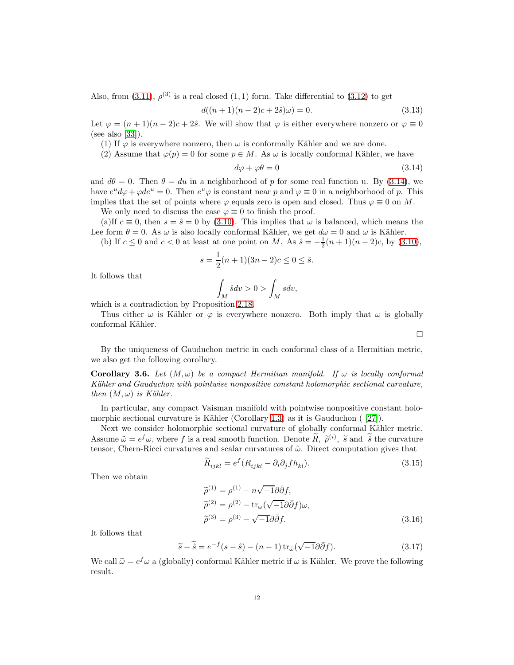Also, from  $(3.11)$ ,  $\rho^{(3)}$  is a real closed  $(1,1)$  form. Take differential to  $(3.12)$  to get

$$
d((n+1)(n-2)c+2\hat{s})\omega = 0.
$$
\n(3.13)

Let  $\varphi = (n+1)(n-2)c + 2\hat{s}$ . We will show that  $\varphi$  is either everywhere nonzero or  $\varphi \equiv 0$ (see also [\[33\]](#page-17-5)).

(1) If  $\varphi$  is everywhere nonzero, then  $\omega$  is conformally Kähler and we are done.

(2) Assume that  $\varphi(p) = 0$  for some  $p \in M$ . As  $\omega$  is locally conformal Kähler, we have

$$
d\varphi + \varphi \theta = 0 \tag{3.14}
$$

and  $d\theta = 0$ . Then  $\theta = du$  in a neighborhood of p for some real function u. By [\(3.14\)](#page-11-0), we have  $e^u d\varphi + \varphi de^u = 0$ . Then  $e^u \varphi$  is constant near p and  $\varphi \equiv 0$  in a neighborhood of p. This implies that the set of points where  $\varphi$  equals zero is open and closed. Thus  $\varphi \equiv 0$  on M.

We only need to discuss the case  $\varphi \equiv 0$  to finish the proof.

(a)If  $c \equiv 0$ , then  $s = \hat{s} = 0$  by [\(3.10\)](#page-10-4). This implies that  $\omega$  is balanced, which means the Lee form  $\theta = 0$ . As  $\omega$  is also locally conformal Kähler, we get  $d\omega = 0$  and  $\omega$  is Kähler.

(b) If  $c \le 0$  and  $c < 0$  at least at one point on M. As  $\hat{s} = -\frac{1}{2}(n+1)(n-2)c$ , by [\(3.10\)](#page-10-4),

$$
s = \frac{1}{2}(n+1)(3n-2)c \le 0 \le \hat{s}.
$$

It follows that

$$
\int_M \hat{s} dv > 0 > \int_M s dv,
$$

which is a contradiction by Proposition [2.18.](#page-7-0)

Thus either  $\omega$  is Kähler or  $\varphi$  is everywhere nonzero. Both imply that  $\omega$  is globally conformal Kähler.

By the uniqueness of Gauduchon metric in each conformal class of a Hermitian metric, we also get the following corollary.

Corollary 3.6. Let  $(M, \omega)$  be a compact Hermitian manifold. If  $\omega$  is locally conformal *K¨ahler and Gauduchon with pointwise nonpositive constant holomorphic sectional curvature, then*  $(M, \omega)$  *is Kähler.* 

In particular, any compact Vaisman manifold with pointwise nonpositive constant holo-morphic sectional curvature is Kähler (Corollary [1.3\)](#page-1-3) as it is Gauduchon  $(27)$ .

Next we consider holomorphic sectional curvature of globally conformal Kähler metric. Assume  $\tilde{\omega} = e^f \omega$ , where f is a real smooth function. Denote  $\tilde{R}$ ,  $\tilde{\rho}^{(i)}$ ,  $\tilde{s}$  and  $\tilde{\delta}$  the curvature tensor, Chern-Ricci curvatures and scalar curvatures of  $\tilde{\omega}$ . Direct computation gives that

$$
\widetilde{R}_{i\overline{j}k\overline{l}} = e^f (R_{i\overline{j}k\overline{l}} - \partial_i \partial_{\overline{j}} f h_{k\overline{l}}).
$$
\n(3.15)

Then we obtain

<span id="page-11-1"></span>
$$
\widetilde{\rho}^{(1)} = \rho^{(1)} - n\sqrt{-1}\partial\bar{\partial}f,
$$
  
\n
$$
\widetilde{\rho}^{(2)} = \rho^{(2)} - \text{tr}_{\omega}(\sqrt{-1}\partial\bar{\partial}f)\omega,
$$
  
\n
$$
\widetilde{\rho}^{(3)} = \rho^{(3)} - \sqrt{-1}\partial\bar{\partial}f.
$$
\n(3.16)

It follows that

$$
\widetilde{s} - \widetilde{\hat{s}} = e^{-f}(s - \hat{s}) - (n - 1)\operatorname{tr}_{\tilde{\omega}}(\sqrt{-1}\partial\bar{\partial}f). \tag{3.17}
$$

We call  $\tilde{\omega} = e^f \omega$  a (globally) conformal Kähler metric if  $\omega$  is Kähler. We prove the following result.

<span id="page-11-2"></span><span id="page-11-0"></span> $\Box$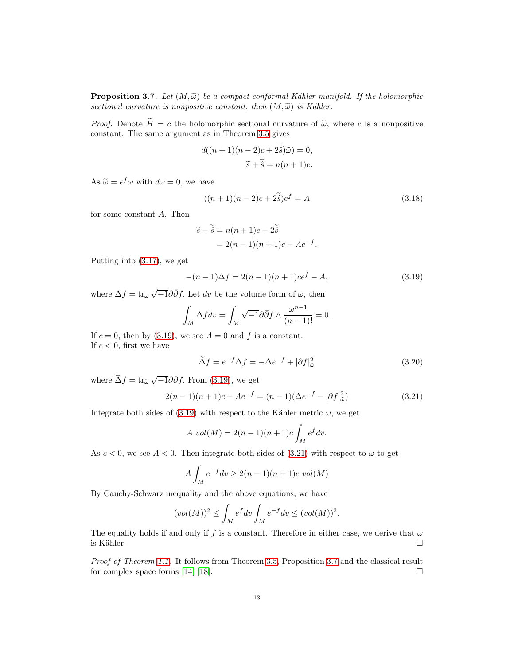<span id="page-12-2"></span>**Proposition 3.7.** Let  $(M,\tilde{\omega})$  be a compact conformal Kähler manifold. If the holomorphic *sectional curvature is nonpositive constant, then*  $(M, \tilde{\omega})$  *is Kähler.* 

*Proof.* Denote  $\widetilde{H} = c$  the holomorphic sectional curvature of  $\widetilde{\omega}$ , where c is a nonpositive constant. The same argument as in Theorem [3.5](#page-10-7) gives

$$
d((n+1)(n-2)c+2\tilde{\hat{s}})\tilde{\omega}) = 0,
$$
  

$$
\tilde{s} + \tilde{\hat{s}} = n(n+1)c.
$$

As  $\widetilde{\omega} = e^f \omega$  with  $d\omega = 0$ , we have

$$
((n+1)(n-2)c+2\tilde{s})e^{f} = A
$$
\n(3.18)

for some constant A. Then

<span id="page-12-0"></span>
$$
\widetilde{s} - \widetilde{\hat{s}} = n(n+1)c - 2\widetilde{\hat{s}}
$$
  
= 2(n-1)(n+1)c - Ae<sup>-f</sup>.

Putting into [\(3.17\)](#page-11-1), we get

$$
-(n-1)\Delta f = 2(n-1)(n+1)ce^{f} - A,
$$
\n(3.19)

where  $\Delta f = \text{tr}_{\omega} \sqrt{-1} \partial \bar{\partial} f$ . Let dv be the volume form of  $\omega$ , then

$$
\int_M \Delta f dv = \int_M \sqrt{-1} \partial \overline{\partial} f \wedge \frac{\omega^{n-1}}{(n-1)!} = 0.
$$

If  $c = 0$ , then by [\(3.19\)](#page-12-0), we see  $A = 0$  and f is a constant. If  $c < 0$ , first we have

<span id="page-12-1"></span>
$$
\tilde{\Delta}f = e^{-f}\Delta f = -\Delta e^{-f} + |\partial f|_{\tilde{\omega}}^2 \tag{3.20}
$$

where  $\tilde{\Delta}f = \text{tr}_{\tilde{\omega}} \sqrt{-1} \partial \bar{\partial}f$ . From [\(3.19\)](#page-12-0), we get

$$
2(n-1)(n+1)c - Ae^{-f} = (n-1)(\Delta e^{-f} - |\partial f|_{\tilde{\omega}}^2)
$$
\n(3.21)

Integrate both sides of [\(3.19\)](#page-12-0) with respect to the Kähler metric  $\omega$ , we get

$$
A\ vol(M) = 2(n-1)(n+1)c \int_M e^f dv.
$$

As  $c < 0$ , we see  $A < 0$ . Then integrate both sides of [\(3.21\)](#page-12-1) with respect to  $\omega$  to get

$$
A\int_M e^{-f}dv \ge 2(n-1)(n+1)c\ vol(M)
$$

By Cauchy-Schwarz inequality and the above equations, we have

$$
(vol(M))^2 \leq \int_M e^f dv \int_M e^{-f} dv \leq (vol(M))^2.
$$

The equality holds if and only if f is a constant. Therefore in either case, we derive that  $\omega$ is Kähler.  $\Box$ 

*Proof of Theorem [1.1.](#page-0-0)* It follows from Theorem [3.5,](#page-10-7) Proposition [3.7](#page-12-2) and the classical result for complex space forms [\[14\]](#page-17-1) [\[18\]](#page-17-2).  $\square$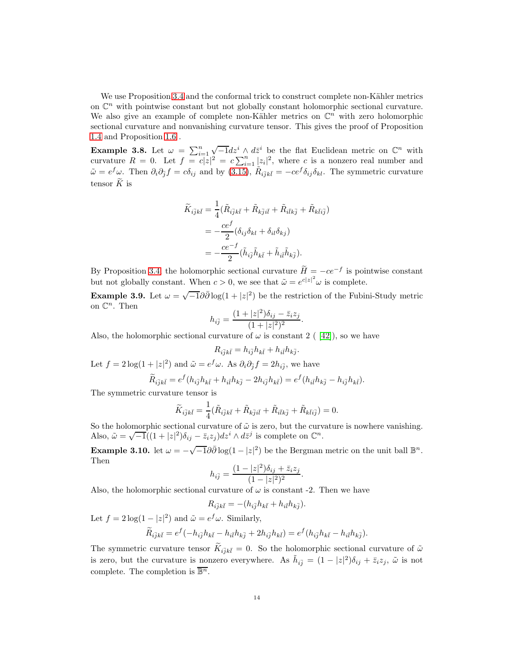We use Proposition [3.4](#page-10-0) and the conformal trick to construct complete non-Kähler metrics on  $\mathbb{C}^n$  with pointwise constant but not globally constant holomorphic sectional curvature. We also give an example of complete non-Kähler metrics on  $\mathbb{C}^n$  with zero holomorphic sectional curvature and nonvanishing curvature tensor. This gives the proof of Proposition [1.4](#page-1-0) and Proposition [1.6](#page-1-1) .

<span id="page-13-0"></span>**Example 3.8.** Let  $\omega = \sum_{i=1}^{n} \sqrt{-1} dz^i \wedge d\bar{z}^i$  be the flat Euclidean metric on  $\mathbb{C}^n$  with curvature  $R = 0$ . Let  $f = c|z|^2 = c \sum_{i=1}^n |z_i|^2$ , where c is a nonzero real number and  $\tilde{\omega} = e^f \omega$ . Then  $\partial_i \partial_{\tilde{j}} f = c \delta_{ij}$  and by [\(3.15\)](#page-11-2),  $\tilde{R}_{i\bar{j}k\bar{l}} = -ce^f \delta_{ij} \delta_{kl}$ . The symmetric curvature tensor  $\widetilde{K}$  is

$$
\widetilde{K}_{i\overline{j}k\overline{l}} = \frac{1}{4} (\widetilde{R}_{i\overline{j}k\overline{l}} + \widetilde{R}_{k\overline{j}i\overline{l}} + \widetilde{R}_{i\overline{l}k\overline{j}} + \widetilde{R}_{k\overline{l}i\overline{j}})
$$

$$
= -\frac{ce^f}{2} (\delta_{ij}\delta_{kl} + \delta_{il}\delta_{kj})
$$

$$
= -\frac{ce^{-f}}{2} (\widetilde{h}_{i\overline{j}}\widetilde{h}_{k\overline{l}} + \widetilde{h}_{i\overline{l}}\widetilde{h}_{k\overline{j}}).
$$

By Proposition [3.4,](#page-10-0) the holomorphic sectional curvature  $H = -ce^{-f}$  is pointwise constant but not globally constant. When  $c > 0$ , we see that  $\tilde{\omega} = e^{c|z|^2} \omega$  is complete.

<span id="page-13-1"></span>Example 3.9. Let  $\omega = \sqrt{-1} \partial \bar{\partial} \log(1+|z|^2)$  be the restriction of the Fubini-Study metric on  $\mathbb{C}^n$ . Then

$$
h_{i\bar{j}} = \frac{(1+|z|^2)\delta_{ij} - \bar{z}_i z_j}{(1+|z|^2)^2}.
$$

Also, the holomorphic sectional curvature of  $\omega$  is constant 2 ( [\[42\]](#page-18-0)), so we have

$$
R_{i\bar{j}k\bar{l}} = h_{i\bar{j}}h_{k\bar{l}} + h_{i\bar{l}}h_{k\bar{j}}.
$$

Let  $f = 2\log(1+|z|^2)$  and  $\tilde{\omega} = e^f \omega$ . As  $\partial_i \partial_{\tilde{j}} f = 2h_{i\tilde{j}}$ , we have

$$
\widetilde{R}_{i\bar{j}k\bar{l}} = e^f(h_{i\bar{j}}h_{k\bar{l}} + h_{i\bar{l}}h_{k\bar{j}} - 2h_{i\bar{j}}h_{k\bar{l}}) = e^f(h_{i\bar{l}}h_{k\bar{j}} - h_{i\bar{j}}h_{k\bar{l}}).
$$

The symmetric curvature tensor is

$$
\widetilde{K}_{i\overline{j}k\overline{l}} = \frac{1}{4} (\widetilde{R}_{i\overline{j}k\overline{l}} + \widetilde{R}_{k\overline{j}i\overline{l}} + \widetilde{R}_{i\overline{l}k\overline{j}} + \widetilde{R}_{k\overline{l}i\overline{j}}) = 0.
$$

So the holomorphic sectional curvature of  $\tilde{\omega}$  is zero, but the curvature is nowhere vanishing. Also,  $\tilde{\omega} = \sqrt{-1}((1+|z|^2)\delta_{ij} - \bar{z}_iz_j)dz^i \wedge d\bar{z}^j$  is complete on  $\mathbb{C}^n$ .

<span id="page-13-2"></span>Example 3.10. let  $\omega = -\sqrt{-1}\partial\bar{\partial}\log(1-|z|^2)$  be the Bergman metric on the unit ball  $\mathbb{B}^n$ . Then

$$
h_{i\bar{j}} = \frac{(1 - |z|^2)\delta_{ij} + \bar{z}_i z_j}{(1 - |z|^2)^2}.
$$

Also, the holomorphic sectional curvature of  $\omega$  is constant -2. Then we have

$$
R_{i\bar{j}k\bar{l}} = -(h_{i\bar{j}}h_{k\bar{l}} + h_{i\bar{l}}h_{k\bar{j}}).
$$

Let  $f = 2 \log(1 - |z|^2)$  and  $\tilde{\omega} = e^f \omega$ . Similarly,

$$
\widetilde{R}_{i\bar{j}k\bar{l}} = e^f(-h_{i\bar{j}}h_{k\bar{l}} - h_{i\bar{l}}h_{k\bar{j}} + 2h_{i\bar{j}}h_{k\bar{l}}) = e^f(h_{i\bar{j}}h_{k\bar{l}} - h_{i\bar{l}}h_{k\bar{j}}).
$$

The symmetric curvature tensor  $K_{i\bar{j}k\bar{l}}=0$ . So the holomorphic sectional curvature of  $\tilde{\omega}$ is zero, but the curvature is nonzero everywhere. As  $\tilde{h}_{i\bar{j}} = (1 - |z|^2)\delta_{ij} + \bar{z}_i z_j$ ,  $\tilde{\omega}$  is not complete. The completion is  $\overline{\mathbb{B}^n}$ .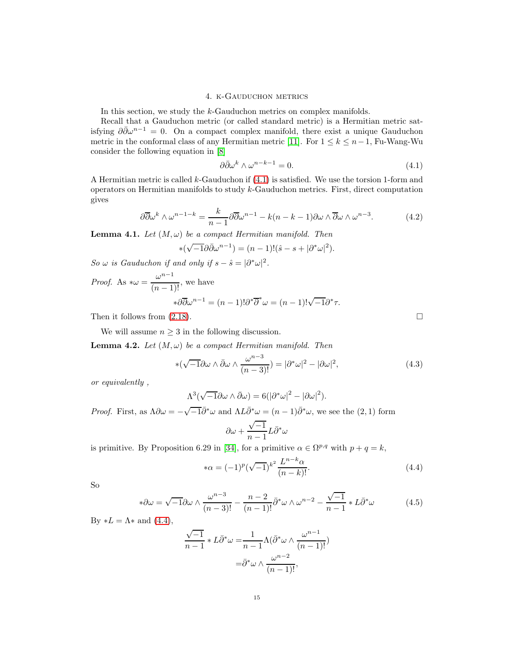### 4. k-Gauduchon metrics

In this section, we study the k-Gauduchon metrics on complex manifolds.

Recall that a Gauduchon metric (or called standard metric) is a Hermitian metric satisfying  $\partial \bar{\partial} \omega^{n-1} = 0$ . On a compact complex manifold, there exist a unique Gauduchon metric in the conformal class of any Hermitian metric [\[11\]](#page-17-23). For  $1 \leq k \leq n-1$ , Fu-Wang-Wu consider the following equation in [\[8\]](#page-17-11)

$$
\partial \bar{\partial} \omega^k \wedge \omega^{n-k-1} = 0. \tag{4.1}
$$

A Hermitian metric is called k-Gauduchon if  $(4.1)$  is satisfied. We use the torsion 1-form and operators on Hermitian manifolds to study k-Gauduchon metrics. First, direct computation gives

$$
\partial \overline{\partial} \omega^k \wedge \omega^{n-1-k} = \frac{k}{n-1} \partial \overline{\partial} \omega^{n-1} - k(n-k-1) \partial \omega \wedge \overline{\partial} \omega \wedge \omega^{n-3}.
$$
 (4.2)

<span id="page-14-4"></span>**Lemma 4.1.** *Let*  $(M, \omega)$  *be a compact Hermitian manifold. Then* 

$$
*(\sqrt{-1}\partial\bar{\partial}\omega^{n-1}) = (n-1)!(\hat{s} - s + |\partial^*\omega|^2).
$$

*So*  $\omega$  *is Gauduchon if and only if*  $s - \hat{s} = |\partial^* \omega|^2$ .

*Proof.* As  $*\omega = \frac{\omega^{n-1}}{(n-1)}$  $\frac{a}{(n-1)!}$ , we have

$$
*\partial \overline{\partial} \omega^{n-1} = (n-1)!\partial^* \overline{\partial}^* \omega = (n-1)!\sqrt{-1}\partial^* \tau.
$$

Then it follows from  $(2.18)$ .

We will assume  $n \geq 3$  in the following discussion.

<span id="page-14-3"></span>**Lemma 4.2.** *Let*  $(M, \omega)$  *be a compact Hermitian manifold. Then* 

$$
*(\sqrt{-1}\partial\omega\wedge\bar{\partial}\omega\wedge\frac{\omega^{n-3}}{(n-3)!})=|\partial^*\omega|^2-|\partial\omega|^2,
$$
\n(4.3)

*or equivalently ,*

$$
\Lambda^3(\sqrt{-1}\partial\omega\wedge\bar{\partial}\omega)=6(|\partial^*\omega|^2-|\partial\omega|^2).
$$

*Proof.* First, as  $\Lambda \partial \omega = -\sqrt{-1} \bar{\partial}^* \omega$  and  $\Lambda L \bar{\partial}^* \omega = (n-1) \bar{\partial}^* \omega$ , we see the  $(2, 1)$  form

$$
\partial\omega+\frac{\sqrt{-1}}{n-1}L\bar\partial^*\omega
$$

is primitive. By Proposition 6.29 in [\[34\]](#page-17-21), for a primitive  $\alpha \in \Omega^{p,q}$  with  $p + q = k$ ,

$$
*\alpha = (-1)^p (\sqrt{-1})^{k^2} \frac{L^{n-k} \alpha}{(n-k)!}.
$$
\n(4.4)

So

$$
*\partial\omega = \sqrt{-1}\partial\omega \wedge \frac{\omega^{n-3}}{(n-3)!} - \frac{n-2}{(n-1)!}\bar{\partial}^*\omega \wedge \omega^{n-2} - \frac{\sqrt{-1}}{n-1} * L\bar{\partial}^*\omega
$$
 (4.5)

By  $*L = \Lambda *$  and  $(4.4)$ ,

$$
\frac{\sqrt{-1}}{n-1} * L\bar{\partial}^* \omega = \frac{1}{n-1} \Lambda(\bar{\partial}^* \omega \wedge \frac{\omega^{n-1}}{(n-1)!})
$$

$$
= \bar{\partial}^* \omega \wedge \frac{\omega^{n-2}}{(n-1)!},
$$

<span id="page-14-2"></span><span id="page-14-1"></span><span id="page-14-0"></span>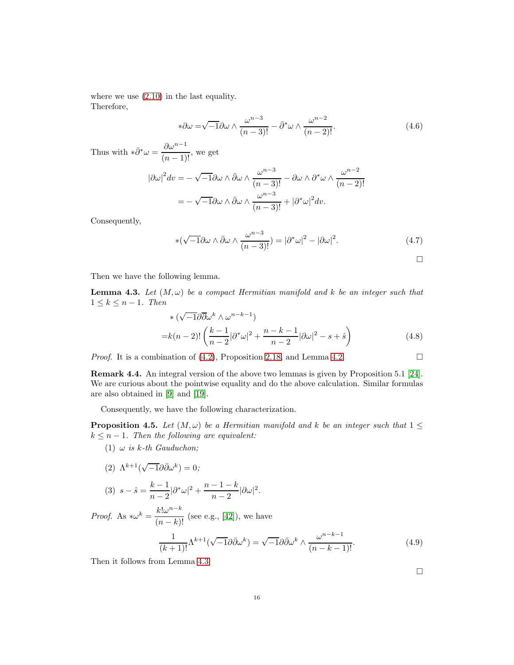where we use [\(2.10\)](#page-5-5) in the last equality. Therefore,

$$
*\partial\omega = \sqrt{-1}\partial\omega \wedge \frac{\omega^{n-3}}{(n-3)!} - \bar{\partial}^*\omega \wedge \frac{\omega^{n-2}}{(n-2)!}.
$$
\n(4.6)

Thus with  $*\bar{\partial}^*\omega = \frac{\partial \omega^{n-1}}{(n-1)}$  $\frac{6a}{(n-1)!}$ , we get

$$
|\partial \omega|^2 dv = -\sqrt{-1} \partial \omega \wedge \bar{\partial} \omega \wedge \frac{\omega^{n-3}}{(n-3)!} - \partial \omega \wedge \partial^* \omega \wedge \frac{\omega^{n-2}}{(n-2)!}
$$

$$
= -\sqrt{-1} \partial \omega \wedge \bar{\partial} \omega \wedge \frac{\omega^{n-3}}{(n-3)!} + |\partial^* \omega|^2 dv.
$$

Consequently,

$$
\ast(\sqrt{-1}\partial\omega\wedge\bar{\partial}\omega\wedge\frac{\omega^{n-3}}{(n-3)!}) = |\partial^*\omega|^2 - |\partial\omega|^2. \tag{4.7}
$$

 $\Box$ 

Then we have the following lemma.

<span id="page-15-1"></span>**Lemma 4.3.** Let  $(M, \omega)$  be a compact Hermitian manifold and k be an integer such that  $1 \leq k \leq n-1$ *. Then* 

$$
\begin{aligned}\n& * \left( \sqrt{-1} \partial \overline{\partial} \omega^k \wedge \omega^{n-k-1} \right) \\
&= k(n-2)! \left( \frac{k-1}{n-2} |\partial^* \omega|^2 + \frac{n-k-1}{n-2} |\partial \omega|^2 - s + \hat{s} \right)\n\end{aligned} \tag{4.8}
$$

*Proof.* It is a combination of  $(4.2)$ , Proposition [2.18,](#page-7-0) and Lemma [4.2.](#page-14-3)

Remark 4.4. An integral version of the above two lemmas is given by Proposition 5.1 [\[24\]](#page-17-4). We are curious about the pointwise equality and do the above calculation. Similar formulas are also obtained in [\[9\]](#page-17-12) and [\[19\]](#page-17-26).

Consequently, we have the following characterization.

<span id="page-15-0"></span>**Proposition 4.5.** *Let*  $(M, \omega)$  *be a Hermitian manifold and* k *be an integer such that*  $1 \leq$  $k \leq n - 1$ *. Then the following are equivalent:* 

(1)  $\omega$  *is k-th Gauduchon*;

$$
(2) \ \Lambda^{k+1}(\sqrt{-1}\partial\bar{\partial}\omega^k) = 0;
$$

(3) 
$$
s - \hat{s} = \frac{k-1}{n-2} |\partial^* \omega|^2 + \frac{n-1-k}{n-2} |\partial \omega|^2
$$
.

*Proof.* As  $*\omega^k = \frac{k! \omega^{n-k}}{(n-k)!}$  $\frac{n\pi}{(n-k)!}$  (see e.g., [\[42\]](#page-18-0)), we have

$$
\frac{1}{(k+1)!} \Lambda^{k+1}(\sqrt{-1}\partial\bar{\partial}\omega^k) = \sqrt{-1}\partial\bar{\partial}\omega^k \wedge \frac{\omega^{n-k-1}}{(n-k-1)!}.\tag{4.9}
$$

Then it follows from Lemma [4.3.](#page-15-1)

<span id="page-15-2"></span> $\Box$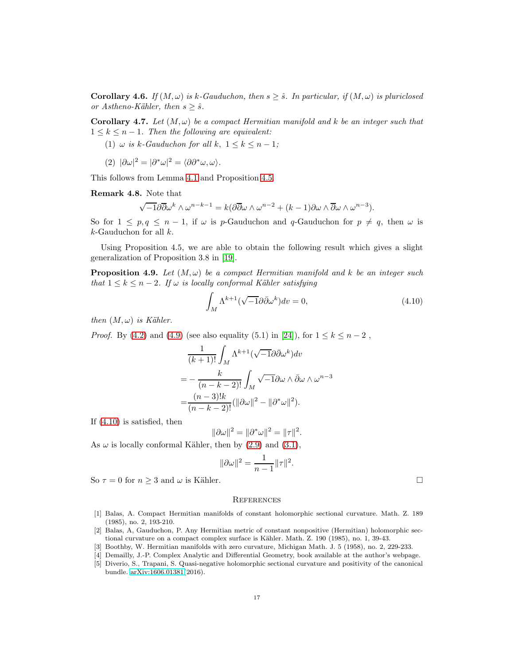**Corollary 4.6.** *If*  $(M, \omega)$  *is* k-Gauduchon, then  $s \geq \hat{s}$ . In particular, if  $(M, \omega)$  is pluriclosed *or Astheno-Kähler, then*  $s \geq \hat{s}$ *.* 

**Corollary 4.7.** Let  $(M, \omega)$  be a compact Hermitian manifold and k be an integer such that  $1 \leq k \leq n-1$ . Then the following are equivalent:

(1)  $\omega$  *is* k-Gauduchon for all k,  $1 \leq k \leq n-1$ ;

$$
(2) \ |\partial \omega|^2 = |\partial^* \omega|^2 = \langle \partial \partial^* \omega, \omega \rangle.
$$

This follows from Lemma [4.1](#page-14-4) and Proposition [4.5.](#page-15-0)

Remark 4.8. Note that

$$
\sqrt{-1}\partial\overline{\partial}\omega^k \wedge \omega^{n-k-1} = k(\partial\overline{\partial}\omega \wedge \omega^{n-2} + (k-1)\partial\omega \wedge \overline{\partial}\omega \wedge \omega^{n-3}).
$$

So for  $1 \leq p, q \leq n-1$ , if  $\omega$  is p-Gauduchon and q-Gauduchon for  $p \neq q$ , then  $\omega$  is  $k$ -Gauduchon for all  $k$ .

Using Proposition 4.5, we are able to obtain the following result which gives a slight generalization of Proposition 3.8 in [\[19\]](#page-17-26).

**Proposition 4.9.** Let  $(M, \omega)$  be a compact Hermitian manifold and k be an integer such *that*  $1 \leq k \leq n-2$ *. If*  $\omega$  *is locally conformal Kähler satisfying* 

$$
\int_{M} \Lambda^{k+1} (\sqrt{-1} \partial \bar{\partial} \omega^{k}) dv = 0, \qquad (4.10)
$$

*then*  $(M, \omega)$  *is Kähler.* 

*Proof.* By [\(4.2\)](#page-14-2) and [\(4.9\)](#page-15-2) (see also equality (5.1) in [\[24\]](#page-17-4)), for  $1 \le k \le n-2$ ,

$$
\frac{1}{(k+1)!} \int_M \Lambda^{k+1} (\sqrt{-1} \partial \bar{\partial} \omega^k) dv
$$
  
= 
$$
- \frac{k}{(n-k-2)!} \int_M \sqrt{-1} \partial \omega \wedge \bar{\partial} \omega \wedge \omega^{n-3}
$$
  
= 
$$
\frac{(n-3)!k}{(n-k-2)!} (||\partial \omega||^2 - ||\partial^* \omega||^2).
$$

If [\(4.10\)](#page-16-5) is satisfied, then

$$
\|\partial\omega\|^2=\|\partial^*\omega\|^2=\|\tau\|^2.
$$

As  $\omega$  is locally conformal Kähler, then by [\(2.9\)](#page-5-2) and [\(3.1\)](#page-8-3),

$$
\|\partial\omega\|^2 = \frac{1}{n-1}\|\tau\|^2.
$$

So  $\tau = 0$  for  $n \geq 3$  and  $\omega$  is Kähler.

<span id="page-16-5"></span>

#### **REFERENCES**

- <span id="page-16-1"></span>[1] Balas, A. Compact Hermitian manifolds of constant holomorphic sectional curvature. Math. Z. 189 (1985), no. 2, 193-210.
- <span id="page-16-0"></span>[2] Balas, A, Gauduchon, P. Any Hermitian metric of constant nonpositive (Hermitian) holomorphic sectional curvature on a compact complex surface is Kähler. Math. Z. 190 (1985), no. 1, 39-43.
- <span id="page-16-4"></span><span id="page-16-2"></span>[3] Boothby, W. Hermitian manifolds with zero curvature, Michigan Math. J. 5 (1958), no. 2, 229-233.
- <span id="page-16-3"></span>[4] Demailly, J.-P. Complex Analytic and Differential Geometry, book available at the author's webpage.
- [5] Diverio, S., Trapani, S. Quasi-negative holomorphic sectional curvature and positivity of the canonical bundle. [arXiv:1606.01381\(](http://arxiv.org/abs/1606.01381)2016).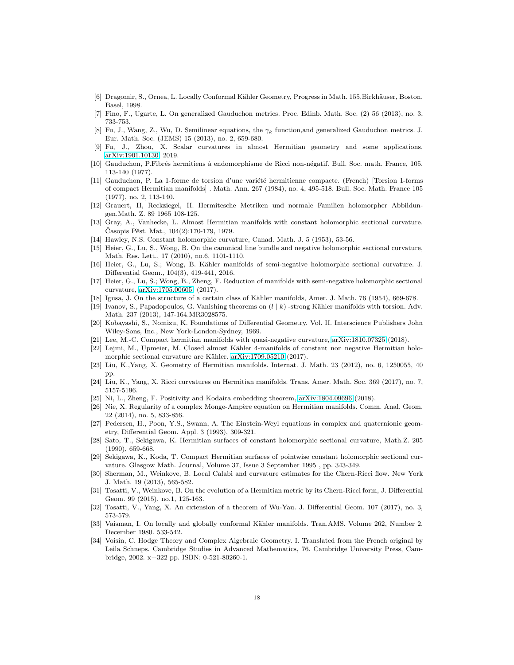- <span id="page-17-3"></span>[6] Dragomir, S., Ornea, L. Locally Conformal Kähler Geometry, Progress in Math. 155,Birkhäuser, Boston, Basel, 1998.
- <span id="page-17-11"></span>[7] Fino, F., Ugarte, L. On generalized Gauduchon metrics. Proc. Edinb. Math. Soc. (2) 56 (2013), no. 3, 733-753.
- [8] Fu, J., Wang, Z., Wu, D. Semilinear equations, the  $\gamma_k$  function, and generalized Gauduchon metrics. J. Eur. Math. Soc. (JEMS) 15 (2013), no. 2, 659-680.
- <span id="page-17-12"></span>[9] Fu, J., Zhou, X. Scalar curvatures in almost Hermitian geometry and some applications, [arXiv:1901.10130,](http://arxiv.org/abs/1901.10130) 2019.
- <span id="page-17-23"></span>[10] Gauduchon, P.Fibrés hermitiens à endomorphisme de Ricci non-négatif. Bull. Soc. math. France, 105, 113-140 (1977).
- [11] Gauduchon, P. La 1-forme de torsion d'une variété hermitienne compacte. (French) [Torsion 1-forms of compact Hermitian manifolds] . Math. Ann. 267 (1984), no. 4, 495-518. Bull. Soc. Math. France 105 (1977), no. 2, 113-140.
- <span id="page-17-18"></span>[12] Grauert, H, Reckziegel, H. Hermitesche Metriken und normale Familien holomorpher Abbildungen.Math. Z. 89 1965 108-125.
- <span id="page-17-7"></span>[13] Gray, A., Vanhecke, L. Almost Hermitian manifolds with constant holomorphic sectional curvature. Časopis Pěst. Mat., 104(2):170-179, 1979.
- <span id="page-17-14"></span><span id="page-17-1"></span>[14] Hawley, N.S. Constant holomorphic curvature, Canad. Math. J. 5 (1953), 53-56.
- [15] Heier, G., Lu, S., Wong, B. On the canonical line bundle and negative holomorphic sectional curvature, Math. Res. Lett., 17 (2010), no.6, 1101-1110.
- <span id="page-17-15"></span>[16] Heier, G., Lu, S.; Wong, B. Kähler manifolds of semi-negative holomorphic sectional curvature. J. Differential Geom., 104(3), 419-441, 2016.
- <span id="page-17-16"></span>[17] Heier, G., Lu, S.; Wong, B., Zheng, F. Reduction of manifolds with semi-negative holomorphic sectional curvature, [arXiv:1705.00605,](http://arxiv.org/abs/1705.00605) (2017).
- <span id="page-17-26"></span><span id="page-17-2"></span>[18] Igusa, J. On the structure of a certain class of Kähler manifolds, Amer. J. Math. 76 (1954), 669-678.
- [19] Ivanov, S., Papadopoulos, G. Vanishing theorems on  $(l \mid k)$  -strong Kähler manifolds with torsion. Adv. Math. 237 (2013), 147-164.MR3028575.
- <span id="page-17-0"></span>[20] Kobayashi, S., Nomizu, K. Foundations of Differential Geometry. Vol. II. Interscience Publishers John Wiley-Sons, Inc., New York-London-Sydney, 1969.
- <span id="page-17-19"></span><span id="page-17-10"></span>[21] Lee, M.-C. Compact hermitian manifolds with quasi-negative curvature, [arXiv:1810.07325](http://arxiv.org/abs/1810.07325) (2018).
- [22] Lejmi, M., Upmeier, M. Closed almost Kähler 4-manifolds of constant non negative Hermitian holomorphic sectional curvature are Kähler. [arXiv:1709.05210](http://arxiv.org/abs/1709.05210) (2017).
- <span id="page-17-20"></span>[23] Liu, K.,Yang, X. Geometry of Hermitian manifolds. Internat. J. Math. 23 (2012), no. 6, 1250055, 40 pp.
- <span id="page-17-17"></span><span id="page-17-4"></span>[24] Liu, K., Yang, X. Ricci curvatures on Hermitian manifolds. Trans. Amer. Math. Soc. 369 (2017), no. 7, 5157-5196.
- <span id="page-17-24"></span>[25] Ni, L., Zheng, F. Positivity and Kodaira embedding theorem, [arXiv:1804.09696](http://arxiv.org/abs/1804.09696) (2018).
- [26] Nie, X. Regularity of a complex Monge-Ampère equation on Hermitian manifolds. Comm. Anal. Geom. 22 (2014), no. 5, 833-856.
- <span id="page-17-6"></span>[27] Pedersen, H., Poon, Y.S., Swann, A. The Einstein-Weyl equations in complex and quaternionic geometry, Differential Geom. Appl. 3 (1993), 309-321.
- <span id="page-17-8"></span>[28] Sato, T., Sekigawa, K. Hermitian surfaces of constant holomorphic sectional curvature, Math.Z. 205 (1990), 659-668.
- <span id="page-17-9"></span>[29] Sekigawa, K., Koda, T. Compact Hermitian surfaces of pointwise constant holomorphic sectional curvature. Glasgow Math. Journal, Volume 37, Issue 3 September 1995 , pp. 343-349.
- <span id="page-17-25"></span>[30] Sherman, M., Weinkove, B. Local Calabi and curvature estimates for the Chern-Ricci flow. New York J. Math. 19 (2013), 565-582.
- <span id="page-17-22"></span>[31] Tosatti, V., Weinkove, B. On the evolution of a Hermitian metric by its Chern-Ricci form, J. Differential Geom. 99 (2015), no.1, 125-163.
- <span id="page-17-13"></span>[32] Tosatti, V., Yang, X. An extension of a theorem of Wu-Yau. J. Differential Geom. 107 (2017), no. 3, 573-579.
- <span id="page-17-5"></span>[33] Vaisman, I. On locally and globally conformal Kähler manifolds. Tran.AMS. Volume 262, Number 2, December 1980. 533-542.
- <span id="page-17-21"></span>[34] Voisin, C. Hodge Theory and Complex Algebraic Geometry. I. Translated from the French original by Leila Schneps. Cambridge Studies in Advanced Mathematics, 76. Cambridge University Press, Cambridge, 2002. x+322 pp. ISBN: 0-521-80260-1.